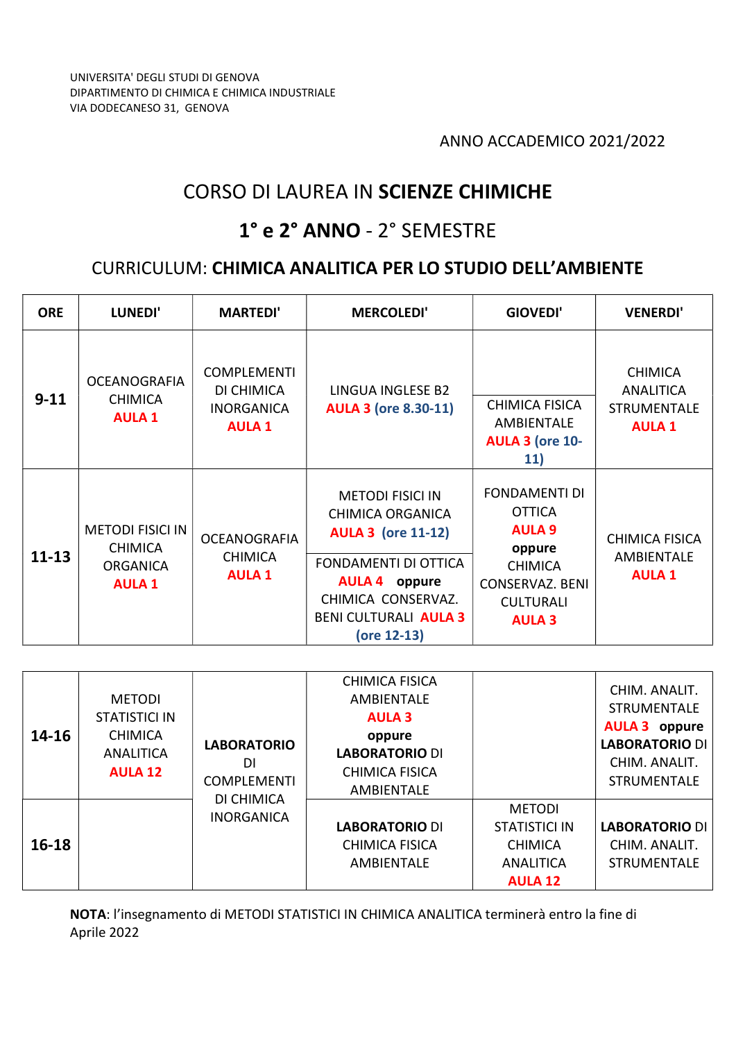# CORSO DI LAUREA IN SCIENZE CHIMICHE

### 1° e 2° ANNO - 2° SEMESTRE

#### CURRICULUM: CHIMICA ANALITICA PER LO STUDIO DELL'AMBIENTE

| <b>ORE</b> | LUNEDI'                                                                       | <b>MARTEDI'</b>                                                        | <b>MERCOLEDI'</b>                                                                                                                                                                             | <b>GIOVEDI'</b>                                                                                                                                   | <b>VENERDI'</b>                                                   |
|------------|-------------------------------------------------------------------------------|------------------------------------------------------------------------|-----------------------------------------------------------------------------------------------------------------------------------------------------------------------------------------------|---------------------------------------------------------------------------------------------------------------------------------------------------|-------------------------------------------------------------------|
| $9 - 11$   | <b>OCEANOGRAFIA</b><br><b>CHIMICA</b><br><b>AULA 1</b>                        | <b>COMPLEMENTI</b><br>DI CHIMICA<br><b>INORGANICA</b><br><b>AULA 1</b> | LINGUA INGLESE B2<br><b>AULA 3 (ore 8.30-11)</b>                                                                                                                                              | CHIMICA FISICA<br>AMBIENTALE<br><b>AULA 3 (ore 10-</b><br>11)                                                                                     | <b>CHIMICA</b><br>ANALITICA<br><b>STRUMENTALE</b><br><b>AULA1</b> |
| $11 - 13$  | <b>METODI FISICI IN</b><br><b>CHIMICA</b><br><b>ORGANICA</b><br><b>AULA 1</b> | <b>OCEANOGRAFIA</b><br><b>CHIMICA</b><br><b>AULA 1</b>                 | <b>METODI FISICI IN</b><br><b>CHIMICA ORGANICA</b><br><b>AULA 3 (ore 11-12)</b><br>FONDAMENTI DI OTTICA<br><b>AULA 4 oppure</b><br>CHIMICA CONSERVAZ.<br>BENI CULTURALI AULA 3<br>(ore 12-13) | <b>FONDAMENTI DI</b><br><b>OTTICA</b><br><b>AULA 9</b><br>oppure<br><b>CHIMICA</b><br><b>CONSERVAZ. BENI</b><br><b>CULTURALI</b><br><b>AULA 3</b> | <b>CHIMICA FISICA</b><br>AMBIENTALE<br><b>AULA1</b>               |

| $14 - 16$ | <b>METODI</b><br>STATISTICI IN<br><b>CHIMICA</b><br><b>ANALITICA</b><br><b>AULA 12</b> | <b>LABORATORIO</b><br>DΙ<br><b>COMPLEMENTI</b> | <b>CHIMICA FISICA</b><br><b>AMBIENTALE</b><br><b>AULA 3</b><br>oppure<br><b>LABORATORIO DI</b><br><b>CHIMICA FISICA</b><br>AMBIENTALE |                                                                                 | CHIM. ANALIT.<br><b>STRUMENTALE</b><br><b>AULA 3</b> oppure<br><b>LABORATORIO DI</b><br>CHIM. ANALIT.<br><b>STRUMENTALE</b> |
|-----------|----------------------------------------------------------------------------------------|------------------------------------------------|---------------------------------------------------------------------------------------------------------------------------------------|---------------------------------------------------------------------------------|-----------------------------------------------------------------------------------------------------------------------------|
| $16 - 18$ |                                                                                        | DI CHIMICA<br><b>INORGANICA</b>                | <b>LABORATORIO DI</b><br><b>CHIMICA FISICA</b><br>AMBIENTALE                                                                          | <b>METODI</b><br>STATISTICI IN<br><b>CHIMICA</b><br>ANALITICA<br><b>AULA 12</b> | <b>LABORATORIO DI</b><br>CHIM. ANALIT.<br><b>STRUMENTALE</b>                                                                |

NOTA: l'insegnamento di METODI STATISTICI IN CHIMICA ANALITICA terminerà entro la fine di Aprile 2022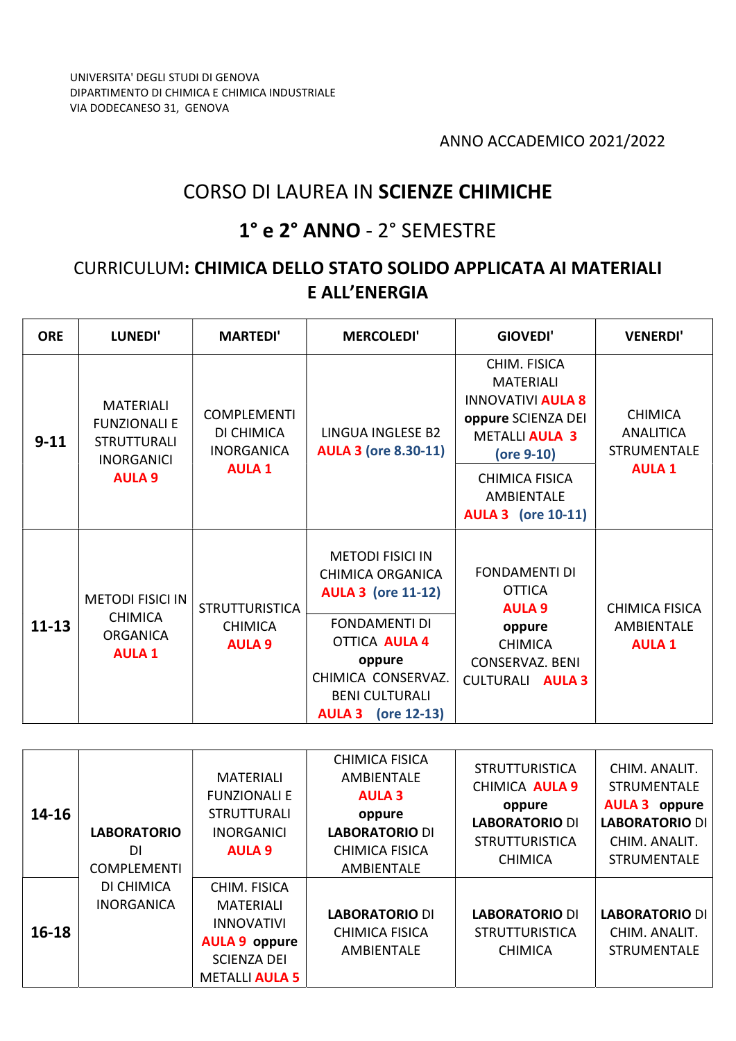## CORSO DI LAUREA IN SCIENZE CHIMICHE

### 1° e 2° ANNO - 2° SEMESTRE

#### CURRICULUM: CHIMICA DELLO STATO SOLIDO APPLICATA AI MATERIALI E ALL'ENERGIA

| <b>ORE</b> | LUNEDI'                                                                                             | <b>MARTEDI'</b>                                       | <b>MERCOLEDI'</b>                                                               | GIOVEDI'                                                                                                                  | <b>VENERDI'</b>                                                          |
|------------|-----------------------------------------------------------------------------------------------------|-------------------------------------------------------|---------------------------------------------------------------------------------|---------------------------------------------------------------------------------------------------------------------------|--------------------------------------------------------------------------|
| $9 - 11$   | <b>MATERIALI</b><br><b>FUNZIONALI E</b><br><b>STRUTTURALI</b><br><b>INORGANICI</b><br><b>AULA 9</b> | <b>COMPLEMENTI</b><br>DI CHIMICA<br><b>INORGANICA</b> | <b>LINGUA INGLESE B2</b><br><b>AULA 3 (ore 8.30-11)</b>                         | CHIM. FISICA<br><b>MATERIALI</b><br><b>INNOVATIVI AULA 8</b><br>oppure SCIENZA DEI<br><b>METALLI AULA 3</b><br>(ore 9-10) | <b>CHIMICA</b><br><b>ANALITICA</b><br><b>STRUMENTALE</b><br><b>AULA1</b> |
|            |                                                                                                     | <b>AULA 1</b>                                         |                                                                                 | <b>CHIMICA FISICA</b><br>AMBIENTALE<br><b>AULA 3</b> (ore 10-11)                                                          |                                                                          |
|            | <b>METODI FISICI IN</b>                                                                             | <b>STRUTTURISTICA</b>                                 | <b>METODI FISICI IN</b><br><b>CHIMICA ORGANICA</b><br><b>AULA 3 (ore 11-12)</b> | <b>FONDAMENTI DI</b><br><b>OTTICA</b><br><b>AULA 9</b>                                                                    | CHIMICA FISICA                                                           |
| $11 - 13$  | <b>CHIMICA</b><br><b>ORGANICA</b><br><b>AULA 1</b>                                                  | <b>CHIMICA</b><br><b>AULA 9</b>                       | <b>FONDAMENTI DI</b><br><b>OTTICA AULA 4</b>                                    | oppure<br><b>CHIMICA</b><br><b>CONSERVAZ. BENI</b><br><b>CULTURALI AULA 3</b>                                             | <b>AMBIENTALE</b><br><b>AULA1</b>                                        |
|            |                                                                                                     |                                                       | oppure<br>CHIMICA CONSERVAZ.                                                    |                                                                                                                           |                                                                          |
|            |                                                                                                     |                                                       | <b>BENI CULTURALI</b><br>$($ ore 12-13 $)$<br><b>AULA 3</b>                     |                                                                                                                           |                                                                          |

| $14 - 16$ | <b>LABORATORIO</b><br>DI<br><b>COMPLEMENTI</b> | <b>MATERIALI</b><br><b>FUNZIONALI E</b><br><b>STRUTTURALI</b><br><b>INORGANICI</b><br><b>AULA 9</b>                          | <b>CHIMICA FISICA</b><br><b>AMBIENTALE</b><br><b>AULA 3</b><br>oppure<br><b>LABORATORIO DI</b><br><b>CHIMICA FISICA</b><br><b>AMBIENTALE</b> | <b>STRUTTURISTICA</b><br><b>CHIMICA AULA 9</b><br>oppure<br><b>LABORATORIO DI</b><br><b>STRUTTURISTICA</b><br><b>CHIMICA</b> | CHIM. ANALIT.<br><b>STRUMENTALE</b><br><b>AULA 3</b> oppure<br><b>LABORATORIO DI</b><br>CHIM. ANALIT.<br><b>STRUMENTALE</b> |
|-----------|------------------------------------------------|------------------------------------------------------------------------------------------------------------------------------|----------------------------------------------------------------------------------------------------------------------------------------------|------------------------------------------------------------------------------------------------------------------------------|-----------------------------------------------------------------------------------------------------------------------------|
| $16 - 18$ | DI CHIMICA<br><b>INORGANICA</b>                | CHIM. FISICA<br><b>MATERIALI</b><br><b>INNOVATIVI</b><br><b>AULA 9 oppure</b><br><b>SCIENZA DEI</b><br><b>METALLI AULA 5</b> | <b>LABORATORIO DI</b><br><b>CHIMICA FISICA</b><br><b>AMBIENTALE</b>                                                                          | <b>LABORATORIO DI</b><br><b>STRUTTURISTICA</b><br><b>CHIMICA</b>                                                             | <b>LABORATORIO DI</b><br>CHIM. ANALIT.<br><b>STRUMENTALE</b>                                                                |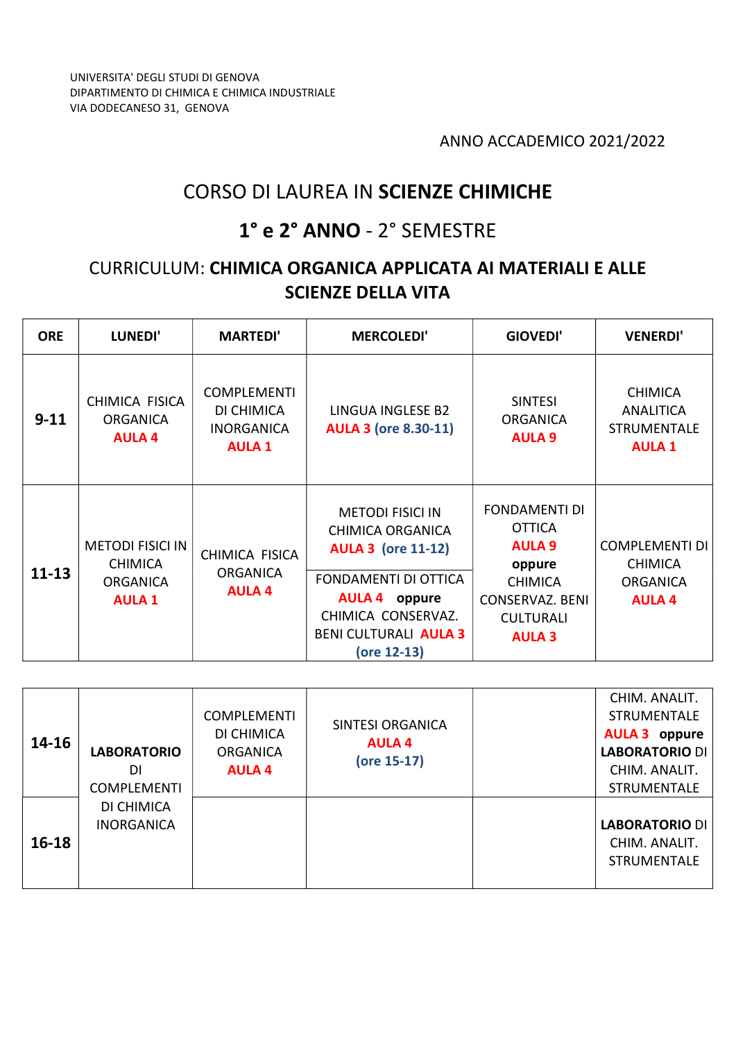## CORSO DI LAUREA IN SCIENZE CHIMICHE

### 1° e 2° ANNO - 2° SEMESTRE

### CURRICULUM: CHIMICA ORGANICA APPLICATA AI MATERIALI E ALLE SCIENZE DELLA VITA

| <b>ORE</b> | <b>LUNEDI'</b>                                                                | <b>MARTEDI'</b>                                                        | <b>MERCOLEDI'</b>                                                                                                                                                                             | <b>GIOVEDI'</b>                                                                                                                                   | <b>VENERDI'</b>                                                             |
|------------|-------------------------------------------------------------------------------|------------------------------------------------------------------------|-----------------------------------------------------------------------------------------------------------------------------------------------------------------------------------------------|---------------------------------------------------------------------------------------------------------------------------------------------------|-----------------------------------------------------------------------------|
| $9 - 11$   | CHIMICA FISICA<br><b>ORGANICA</b><br><b>AULA 4</b>                            | <b>COMPLEMENTI</b><br>DI CHIMICA<br><b>INORGANICA</b><br><b>AULA 1</b> | LINGUA INGLESE B2<br><b>AULA 3 (ore 8.30-11)</b>                                                                                                                                              | <b>SINTESI</b><br><b>ORGANICA</b><br><b>AULA 9</b>                                                                                                | <b>CHIMICA</b><br>ANALITICA<br><b>STRUMENTALE</b><br><b>AULA1</b>           |
| $11 - 13$  | <b>METODI FISICI IN</b><br><b>CHIMICA</b><br><b>ORGANICA</b><br><b>AULA 1</b> | CHIMICA FISICA<br><b>ORGANICA</b><br><b>AULA 4</b>                     | <b>METODI FISICI IN</b><br>CHIMICA ORGANICA<br><b>AULA 3 (ore 11-12)</b><br>FONDAMENTI DI OTTICA<br><b>AULA 4 oppure</b><br>CHIMICA CONSERVAZ.<br><b>BENI CULTURALI AULA 3</b><br>(ore 12-13) | <b>FONDAMENTI DI</b><br><b>OTTICA</b><br><b>AULA 9</b><br>oppure<br><b>CHIMICA</b><br><b>CONSERVAZ. BENI</b><br><b>CULTURALI</b><br><b>AULA 3</b> | <b>COMPLEMENTI DI</b><br><b>CHIMICA</b><br><b>ORGANICA</b><br><b>AULA 4</b> |

| $14 - 16$ | <b>LABORATORIO</b><br>DI<br><b>COMPLEMENTI</b> | <b>COMPLEMENTI</b><br>DI CHIMICA<br><b>ORGANICA</b><br><b>AULA 4</b> | SINTESI ORGANICA<br><b>AULA 4</b><br>(ore 15-17) | CHIM. ANALIT.<br><b>STRUMENTALE</b><br><b>AULA 3</b> oppure<br><b>LABORATORIO DI</b><br>CHIM. ANALIT.<br><b>STRUMENTALE</b> |
|-----------|------------------------------------------------|----------------------------------------------------------------------|--------------------------------------------------|-----------------------------------------------------------------------------------------------------------------------------|
| $16-18$   | DI CHIMICA<br><b>INORGANICA</b>                |                                                                      |                                                  | <b>LABORATORIO DI</b><br>CHIM. ANALIT.<br><b>STRUMENTALE</b>                                                                |